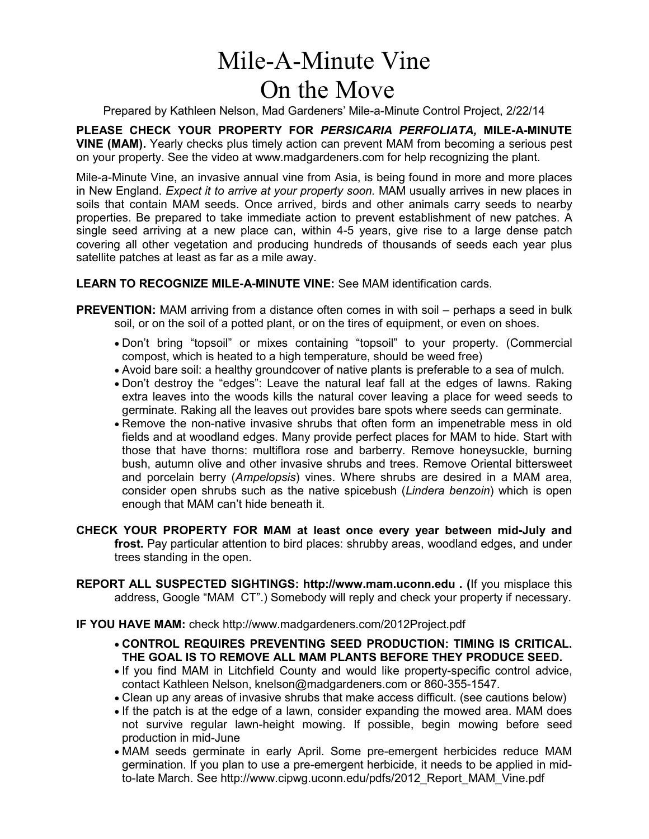# Mile-A-Minute Vine On the Move

Prepared by Kathleen Nelson, Mad Gardeners' Mile-a-Minute Control Project, 2/22/14

**PLEASE CHECK YOUR PROPERTY FOR** *PERSICARIA PERFOLIATA,* **MILE-A-MINUTE VINE (MAM).** Yearly checks plus timely action can prevent MAM from becoming a serious pest on your property. See the video at www.madgardeners.com for help recognizing the plant.

Mile-a-Minute Vine, an invasive annual vine from Asia, is being found in more and more places in New England. *Expect it to arrive at your property soon.* MAM usually arrives in new places in soils that contain MAM seeds. Once arrived, birds and other animals carry seeds to nearby properties. Be prepared to take immediate action to prevent establishment of new patches. A single seed arriving at a new place can, within 4-5 years, give rise to a large dense patch covering all other vegetation and producing hundreds of thousands of seeds each year plus satellite patches at least as far as a mile away.

## **LEARN TO RECOGNIZE MILE-A-MINUTE VINE:** See MAM identification cards.

- **PREVENTION:** MAM arriving from a distance often comes in with soil perhaps a seed in bulk soil, or on the soil of a potted plant, or on the tires of equipment, or even on shoes.
	- Don't bring "topsoil" or mixes containing "topsoil" to your property. (Commercial compost, which is heated to a high temperature, should be weed free)
	- Avoid bare soil: a healthy groundcover of native plants is preferable to a sea of mulch.
	- Don't destroy the "edges": Leave the natural leaf fall at the edges of lawns. Raking extra leaves into the woods kills the natural cover leaving a place for weed seeds to germinate. Raking all the leaves out provides bare spots where seeds can germinate.
	- Remove the non-native invasive shrubs that often form an impenetrable mess in old fields and at woodland edges. Many provide perfect places for MAM to hide. Start with those that have thorns: multiflora rose and barberry. Remove honeysuckle, burning bush, autumn olive and other invasive shrubs and trees. Remove Oriental bittersweet and porcelain berry (*Ampelopsis*) vines. Where shrubs are desired in a MAM area, consider open shrubs such as the native spicebush (*Lindera benzoin*) which is open enough that MAM can't hide beneath it.
- **CHECK YOUR PROPERTY FOR MAM at least once every year between mid-July and frost.** Pay particular attention to bird places: shrubby areas, woodland edges, and under trees standing in the open.
- **REPORT ALL SUSPECTED SIGHTINGS: http://www.mam.uconn.edu . (**If you misplace this address, Google "MAM CT".) Somebody will reply and check your property if necessary.

### **IF YOU HAVE MAM:** check http://www.madgardeners.com/2012Project.pdf

- **CONTROL REQUIRES PREVENTING SEED PRODUCTION: TIMING IS CRITICAL. THE GOAL IS TO REMOVE ALL MAM PLANTS BEFORE THEY PRODUCE SEED.**
- If you find MAM in Litchfield County and would like property-specific control advice, contact Kathleen Nelson, knelson@madgardeners.com or 860-355-1547.
- Clean up any areas of invasive shrubs that make access difficult. (see cautions below)
- If the patch is at the edge of a lawn, consider expanding the mowed area. MAM does not survive regular lawn-height mowing. If possible, begin mowing before seed production in mid-June
- MAM seeds germinate in early April. Some pre-emergent herbicides reduce MAM germination. If you plan to use a pre-emergent herbicide, it needs to be applied in midto-late March. See http://www.cipwg.uconn.edu/pdfs/2012\_Report\_MAM\_Vine.pdf